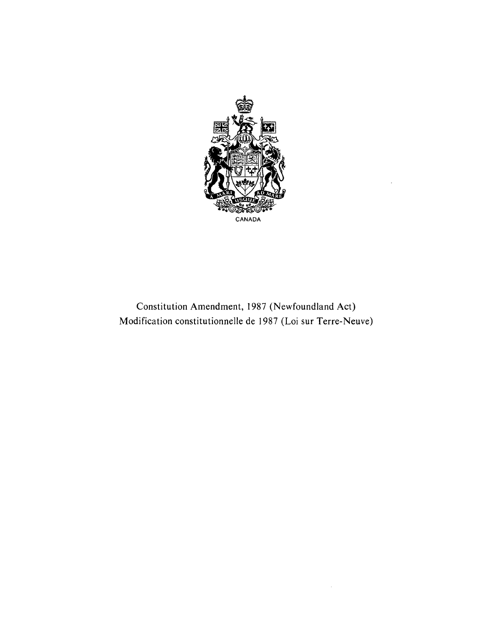

Constitution Amendment, 1987 (Newfoundland Act) Modification constitutionnelle de 1987 (Loi sur Terre-Neuve)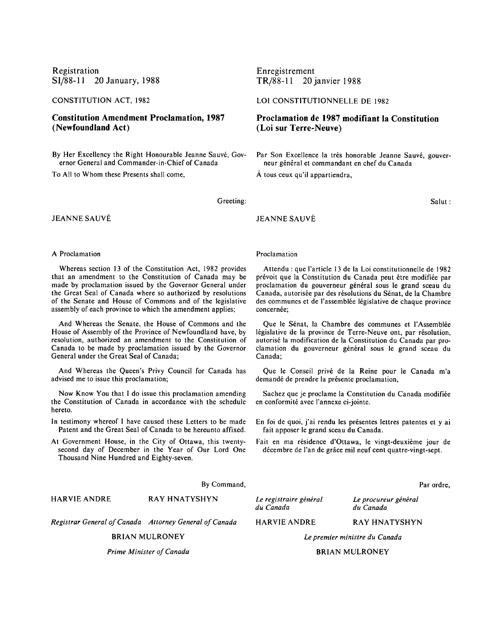Registration SI/88-11 20 January, 1988

CONSTITUTION ACT, 1982

**Constitution Amendment Proclamation, 1987 (Newfoundland Act)**

By Her Excellency the Right Honourable Jeanne Sauvé, Governor General and Commander-in-Chief of Canada

To All to Whom these Presents shall come,

Enregistrement TR/88-11 20janvier 1988

LOI CONSTITUTIONNELLE DE 1982

**Proclamation de 1987 modifiant la Constitution (Loi sur Terre-Neuve)**

Par Son Excellence la très honorable Jeanne Sauvé, gouverneur général et commandant en chef du Canada

**A** tous ceux qu'il appartiendra,

Salut **:**

# Greeting:

**JEANNE SAUVÉ** 

JEANNE SAUVE

### A Proclamation

Whereas section 13 of the Constitution Act, 1982 provides that an amendment to the Constitution of Canada may be made by proclamation issued by the Governor General under the Great Seal of Canada where so authorized by resolutions of the Senate and House of Commons and of the legislative assembly of each province to which the amendment applies;

And Whereas the Senate, the House of Commons and the House of Assembly of the Province of Newfoundland have, by resolution, authorized an amendment to the Constitution of Canada to be made by proclamation issued by the Governor General under the Great Seal of Canada;

And Whereas the Queen's Privy Council for Canada has advised me to issue this proclamation;

Now Know You that I do issue this proclamation amending the Constitution of Canada in accordance with the schedule hereto.

- In testimony whereof **I** have caused these Letters to be made Patent and the Great Seal of Canada to be hereunto affixed.
- At Government House, in the City of Ottawa, this twentysecond day of December in the Year of Our Lord One Thousand Nine Hundred and Eighty-seven.

# **By** Command,

RAY HNATYSHYN HARVIE ANDRE

*Registrar General of Canada Attorney General of Canada*

BRIAN MULRONEY

*Prime Minister of Canada*

Proclamation

Attendu : que l'article 13 de la Loi constitutionnelle de 1982 prévoit que la Constitution du Canada peut être modifiée par proclamation du gouverneur général sous le grand sceau du Canada, autorisée par des résolutions du Sénat, de la Chambre des communes et de l'assemblée législative de chaque province concernée;

Que le Sénat, la Chambre des communes et l'Assemblée législative de la province de Terre-Neuve ont, par résolution, autorisé la modification de la Constitution du Canada par proclamation du gouverneur général sous le grand sceau du Canada;

Que le Conseil privé de la Reine pour le Canada m'a demandé de prendre la présente proclamation,

Sachez que je proclame la Constitution du Canada modifiée en conformité avec l'annexe ci-jointe.

En foi de quoi, j'ai rendu les présentes lettres patentes et y ai fait apposer le grand sceau du Canada.

Fait en ma résidence d'Ottawa, le vingt-deuxième jour de décembre de l'an de grâce mil neuf cent quatre-vingt-sept.

Par ordre,

Le registraire général du Canada

HARVIE **ANDRE**

du Canada RAY HNATYSHYN

Le procureur général

*Le premier ministre du Canada*

#### BRIAN MULRONEY